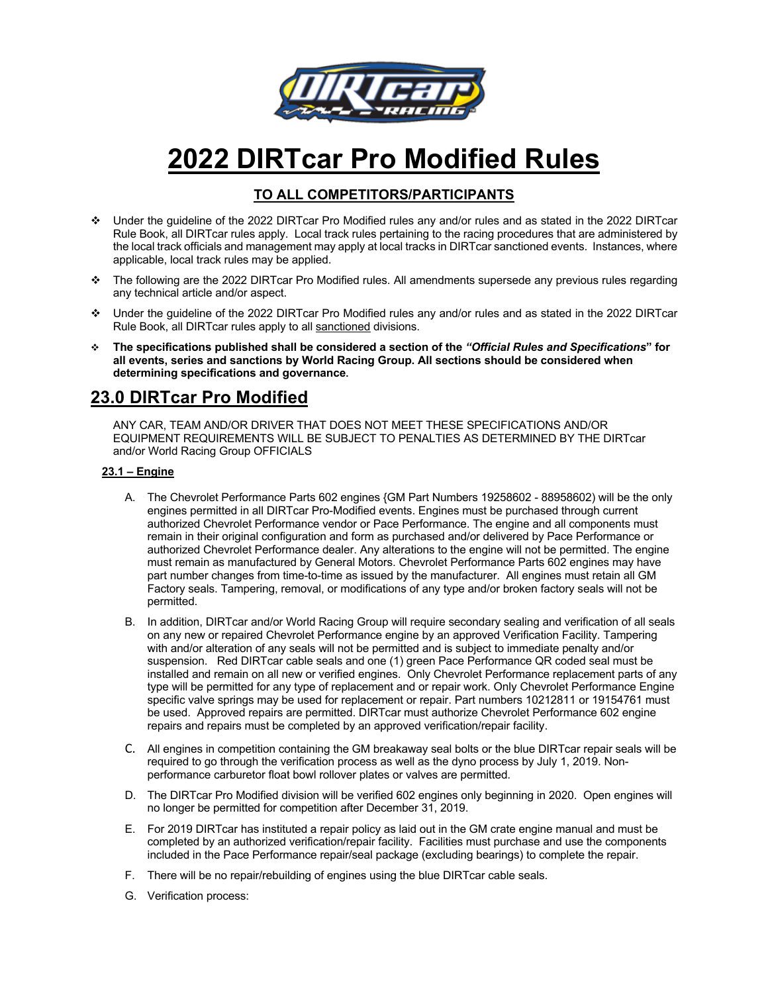

# **2022 DIRTcar Pro Modified Rules**

### **TO ALL COMPETITORS/PARTICIPANTS**

- v Under the guideline of the 2022 DIRTcar Pro Modified rules any and/or rules and as stated in the 2022 DIRTcar Rule Book, all DIRTcar rules apply. Local track rules pertaining to the racing procedures that are administered by the local track officials and management may apply at local tracks in DIRTcar sanctioned events. Instances, where applicable, local track rules may be applied.
- v The following are the 2022 DIRTcar Pro Modified rules. All amendments supersede any previous rules regarding any technical article and/or aspect.
- v Under the guideline of the 2022 DIRTcar Pro Modified rules any and/or rules and as stated in the 2022 DIRTcar Rule Book, all DIRTcar rules apply to all sanctioned divisions.
- v **The specifications published shall be considered a section of the** *"Official Rules and Specifications***" for all events, series and sanctions by World Racing Group. All sections should be considered when determining specifications and governance.**

## **23.0 DIRTcar Pro Modified**

ANY CAR, TEAM AND/OR DRIVER THAT DOES NOT MEET THESE SPECIFICATIONS AND/OR EQUIPMENT REQUIREMENTS WILL BE SUBJECT TO PENALTIES AS DETERMINED BY THE DIRTcar and/or World Racing Group OFFICIALS

#### **23.1 – Engine**

- A. The Chevrolet Performance Parts 602 engines {GM Part Numbers 19258602 88958602) will be the only engines permitted in all DIRTcar Pro-Modified events. Engines must be purchased through current authorized Chevrolet Performance vendor or Pace Performance. The engine and all components must remain in their original configuration and form as purchased and/or delivered by Pace Performance or authorized Chevrolet Performance dealer. Any alterations to the engine will not be permitted. The engine must remain as manufactured by General Motors. Chevrolet Performance Parts 602 engines may have part number changes from time-to-time as issued by the manufacturer. All engines must retain all GM Factory seals. Tampering, removal, or modifications of any type and/or broken factory seals will not be permitted.
- B. In addition, DIRTcar and/or World Racing Group will require secondary sealing and verification of all seals on any new or repaired Chevrolet Performance engine by an approved Verification Facility. Tampering with and/or alteration of any seals will not be permitted and is subject to immediate penalty and/or suspension. Red DIRTcar cable seals and one (1) green Pace Performance QR coded seal must be installed and remain on all new or verified engines. Only Chevrolet Performance replacement parts of any type will be permitted for any type of replacement and or repair work. Only Chevrolet Performance Engine specific valve springs may be used for replacement or repair. Part numbers 10212811 or 19154761 must be used. Approved repairs are permitted. DIRTcar must authorize Chevrolet Performance 602 engine repairs and repairs must be completed by an approved verification/repair facility.
- C. All engines in competition containing the GM breakaway seal bolts or the blue DIRTcar repair seals will be required to go through the verification process as well as the dyno process by July 1, 2019. Nonperformance carburetor float bowl rollover plates or valves are permitted.
- D. The DIRTcar Pro Modified division will be verified 602 engines only beginning in 2020. Open engines will no longer be permitted for competition after December 31, 2019.
- E. For 2019 DIRTcar has instituted a repair policy as laid out in the GM crate engine manual and must be completed by an authorized verification/repair facility. Facilities must purchase and use the components included in the Pace Performance repair/seal package (excluding bearings) to complete the repair.
- F. There will be no repair/rebuilding of engines using the blue DIRTcar cable seals.
- G. Verification process: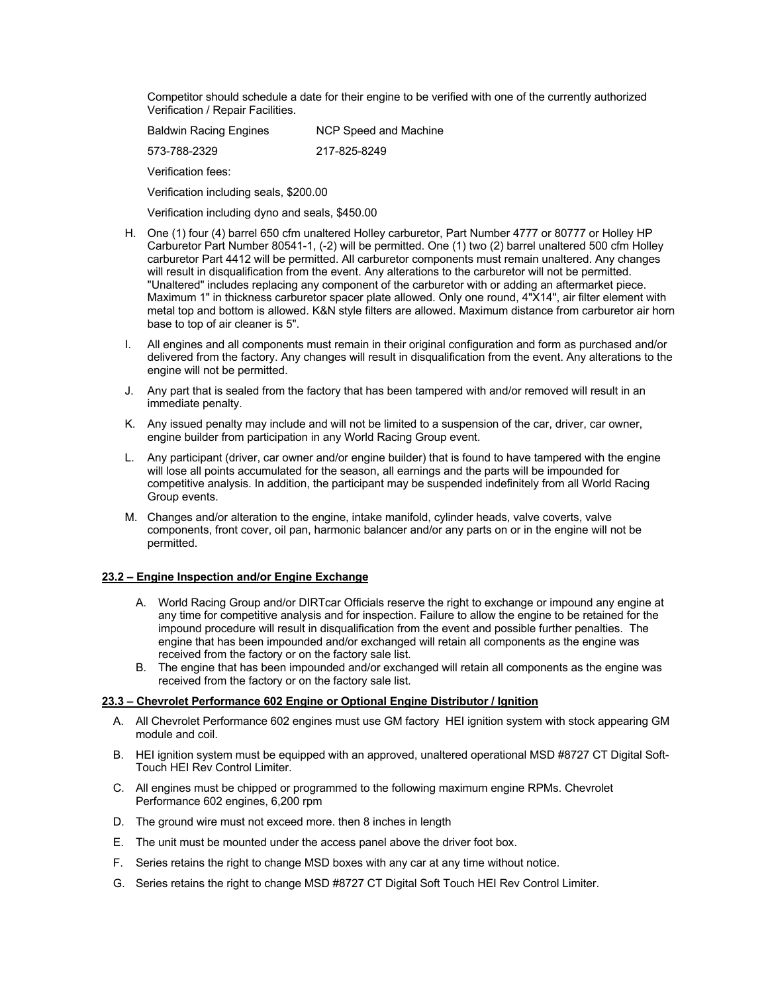Competitor should schedule a date for their engine to be verified with one of the currently authorized Verification / Repair Facilities.

| <b>Baldwin Racing Engines</b> | NCP Speed and Machine |
|-------------------------------|-----------------------|
| 573-788-2329                  | 217-825-8249          |

Verification fees:

Verification including seals, \$200.00

Verification including dyno and seals, \$450.00

- H. One (1) four (4) barrel 650 cfm unaltered Holley carburetor, Part Number 4777 or 80777 or Holley HP Carburetor Part Number 80541-1, (-2) will be permitted. One (1) two (2) barrel unaltered 500 cfm Holley carburetor Part 4412 will be permitted. All carburetor components must remain unaltered. Any changes will result in disqualification from the event. Any alterations to the carburetor will not be permitted. "Unaltered" includes replacing any component of the carburetor with or adding an aftermarket piece. Maximum 1" in thickness carburetor spacer plate allowed. Only one round, 4"X14", air filter element with metal top and bottom is allowed. K&N style filters are allowed. Maximum distance from carburetor air horn base to top of air cleaner is 5".
- I. All engines and all components must remain in their original configuration and form as purchased and/or delivered from the factory. Any changes will result in disqualification from the event. Any alterations to the engine will not be permitted.
- J. Any part that is sealed from the factory that has been tampered with and/or removed will result in an immediate penalty.
- K. Any issued penalty may include and will not be limited to a suspension of the car, driver, car owner, engine builder from participation in any World Racing Group event.
- L. Any participant (driver, car owner and/or engine builder) that is found to have tampered with the engine will lose all points accumulated for the season, all earnings and the parts will be impounded for competitive analysis. In addition, the participant may be suspended indefinitely from all World Racing Group events.
- M. Changes and/or alteration to the engine, intake manifold, cylinder heads, valve coverts, valve components, front cover, oil pan, harmonic balancer and/or any parts on or in the engine will not be permitted.

#### **23.2 – Engine Inspection and/or Engine Exchange**

- A. World Racing Group and/or DIRTcar Officials reserve the right to exchange or impound any engine at any time for competitive analysis and for inspection. Failure to allow the engine to be retained for the impound procedure will result in disqualification from the event and possible further penalties. The engine that has been impounded and/or exchanged will retain all components as the engine was received from the factory or on the factory sale list.
- B. The engine that has been impounded and/or exchanged will retain all components as the engine was received from the factory or on the factory sale list.

#### **23.3 – Chevrolet Performance 602 Engine or Optional Engine Distributor / Ignition**

- A. All Chevrolet Performance 602 engines must use GM factory HEI ignition system with stock appearing GM module and coil.
- B. HEI ignition system must be equipped with an approved, unaltered operational MSD #8727 CT Digital Soft-Touch HEI Rev Control Limiter.
- C. All engines must be chipped or programmed to the following maximum engine RPMs. Chevrolet Performance 602 engines, 6,200 rpm
- D. The ground wire must not exceed more. then 8 inches in length
- E. The unit must be mounted under the access panel above the driver foot box.
- F. Series retains the right to change MSD boxes with any car at any time without notice.
- G. Series retains the right to change MSD #8727 CT Digital Soft Touch HEI Rev Control Limiter.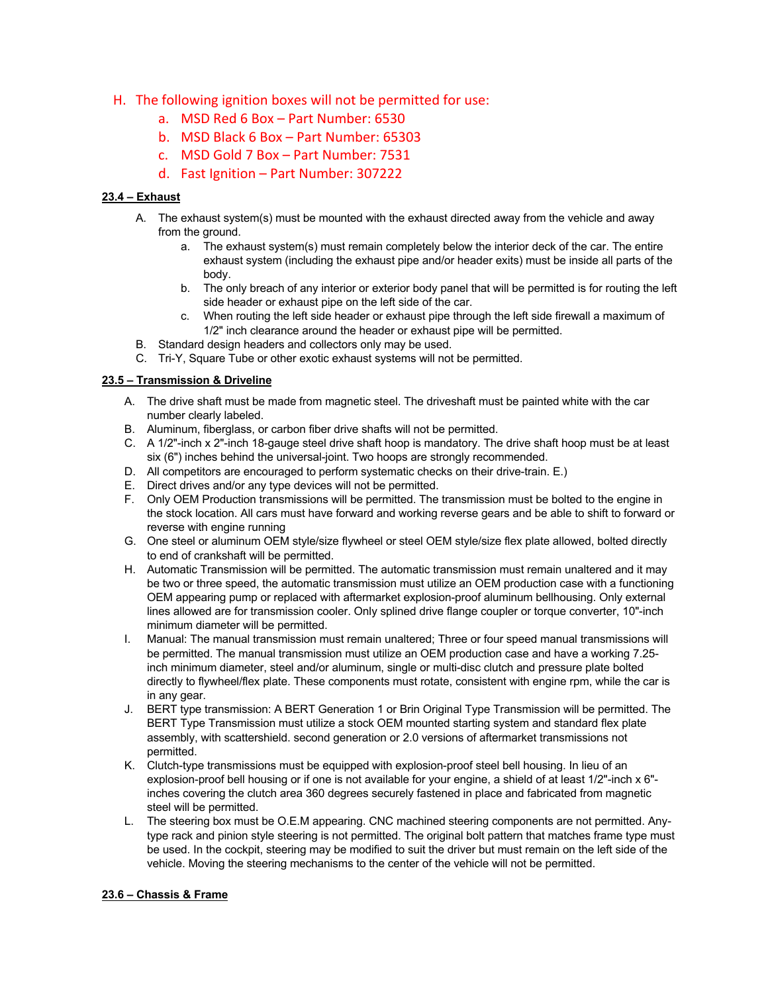- H. The following ignition boxes will not be permitted for use:
	- a. MSD Red 6 Box Part Number: 6530
	- b. MSD Black 6 Box Part Number: 65303
	- c. MSD Gold 7 Box Part Number: 7531
	- d. Fast Ignition Part Number: 307222

#### **23.4 – Exhaust**

- A. The exhaust system(s) must be mounted with the exhaust directed away from the vehicle and away from the ground.
	- a. The exhaust system(s) must remain completely below the interior deck of the car. The entire exhaust system (including the exhaust pipe and/or header exits) must be inside all parts of the body.
	- b. The only breach of any interior or exterior body panel that will be permitted is for routing the left side header or exhaust pipe on the left side of the car.
	- c. When routing the left side header or exhaust pipe through the left side firewall a maximum of 1/2" inch clearance around the header or exhaust pipe will be permitted.
- B. Standard design headers and collectors only may be used.
- C. Tri-Y, Square Tube or other exotic exhaust systems will not be permitted.

#### **23.5 – Transmission & Driveline**

- A. The drive shaft must be made from magnetic steel. The driveshaft must be painted white with the car number clearly labeled.
- B. Aluminum, fiberglass, or carbon fiber drive shafts will not be permitted.
- C. A 1/2"-inch x 2"-inch 18-gauge steel drive shaft hoop is mandatory. The drive shaft hoop must be at least six (6") inches behind the universal-joint. Two hoops are strongly recommended.
- D. All competitors are encouraged to perform systematic checks on their drive-train. E.)
- E. Direct drives and/or any type devices will not be permitted.
- F. Only OEM Production transmissions will be permitted. The transmission must be bolted to the engine in the stock location. All cars must have forward and working reverse gears and be able to shift to forward or reverse with engine running
- G. One steel or aluminum OEM style/size flywheel or steel OEM style/size flex plate allowed, bolted directly to end of crankshaft will be permitted.
- H. Automatic Transmission will be permitted. The automatic transmission must remain unaltered and it may be two or three speed, the automatic transmission must utilize an OEM production case with a functioning OEM appearing pump or replaced with aftermarket explosion-proof aluminum bellhousing. Only external lines allowed are for transmission cooler. Only splined drive flange coupler or torque converter, 10"-inch minimum diameter will be permitted.
- I. Manual: The manual transmission must remain unaltered; Three or four speed manual transmissions will be permitted. The manual transmission must utilize an OEM production case and have a working 7.25 inch minimum diameter, steel and/or aluminum, single or multi-disc clutch and pressure plate bolted directly to flywheel/flex plate. These components must rotate, consistent with engine rpm, while the car is in any gear.
- J. BERT type transmission: A BERT Generation 1 or Brin Original Type Transmission will be permitted. The BERT Type Transmission must utilize a stock OEM mounted starting system and standard flex plate assembly, with scattershield. second generation or 2.0 versions of aftermarket transmissions not permitted.
- K. Clutch-type transmissions must be equipped with explosion-proof steel bell housing. In lieu of an explosion-proof bell housing or if one is not available for your engine, a shield of at least 1/2"-inch x 6"inches covering the clutch area 360 degrees securely fastened in place and fabricated from magnetic steel will be permitted.
- L. The steering box must be O.E.M appearing. CNC machined steering components are not permitted. Anytype rack and pinion style steering is not permitted. The original bolt pattern that matches frame type must be used. In the cockpit, steering may be modified to suit the driver but must remain on the left side of the vehicle. Moving the steering mechanisms to the center of the vehicle will not be permitted.

#### **23.6 – Chassis & Frame**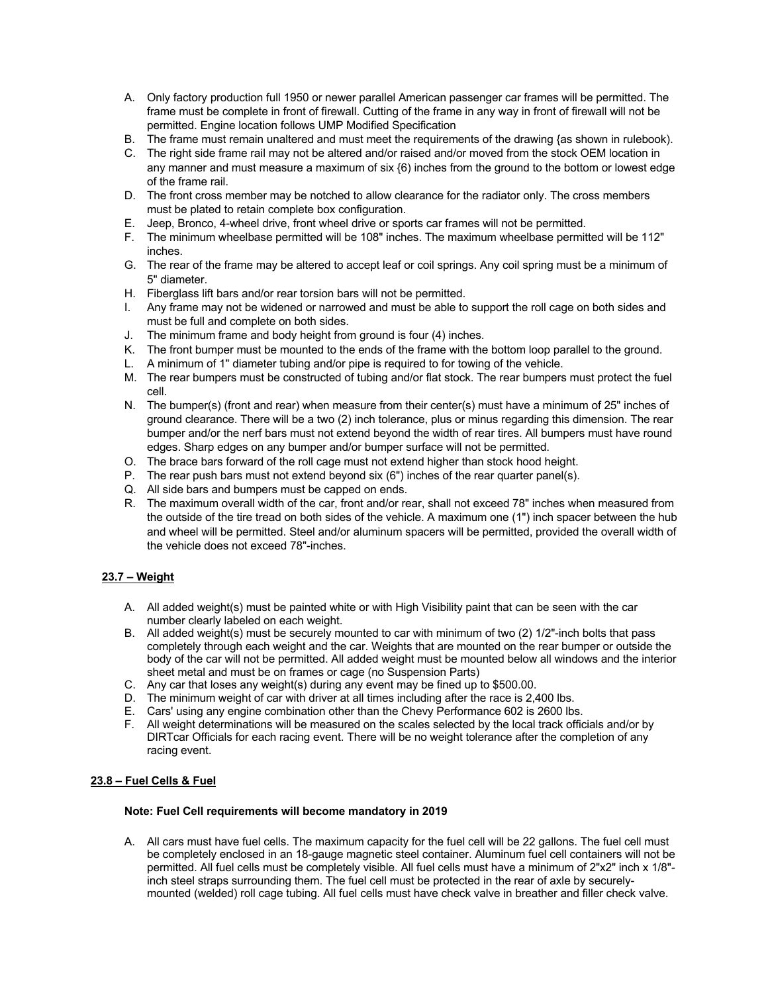- A. Only factory production full 1950 or newer parallel American passenger car frames will be permitted. The frame must be complete in front of firewall. Cutting of the frame in any way in front of firewall will not be permitted. Engine location follows UMP Modified Specification
- B. The frame must remain unaltered and must meet the requirements of the drawing {as shown in rulebook).
- C. The right side frame rail may not be altered and/or raised and/or moved from the stock OEM location in any manner and must measure a maximum of six {6) inches from the ground to the bottom or lowest edge of the frame rail.
- D. The front cross member may be notched to allow clearance for the radiator only. The cross members must be plated to retain complete box configuration.
- E. Jeep, Bronco, 4-wheel drive, front wheel drive or sports car frames will not be permitted.
- F. The minimum wheelbase permitted will be 108" inches. The maximum wheelbase permitted will be 112" inches.
- G. The rear of the frame may be altered to accept leaf or coil springs. Any coil spring must be a minimum of 5" diameter.
- H. Fiberglass lift bars and/or rear torsion bars will not be permitted.
- I. Any frame may not be widened or narrowed and must be able to support the roll cage on both sides and must be full and complete on both sides.
- J. The minimum frame and body height from ground is four (4) inches.
- K. The front bumper must be mounted to the ends of the frame with the bottom loop parallel to the ground.
- L. A minimum of 1" diameter tubing and/or pipe is required to for towing of the vehicle.
- M. The rear bumpers must be constructed of tubing and/or flat stock. The rear bumpers must protect the fuel cell.
- N. The bumper(s) (front and rear) when measure from their center(s) must have a minimum of 25" inches of ground clearance. There will be a two (2) inch tolerance, plus or minus regarding this dimension. The rear bumper and/or the nerf bars must not extend beyond the width of rear tires. All bumpers must have round edges. Sharp edges on any bumper and/or bumper surface will not be permitted.
- O. The brace bars forward of the roll cage must not extend higher than stock hood height.
- P. The rear push bars must not extend beyond six (6") inches of the rear quarter panel(s).
- Q. All side bars and bumpers must be capped on ends.
- R. The maximum overall width of the car, front and/or rear, shall not exceed 78" inches when measured from the outside of the tire tread on both sides of the vehicle. A maximum one (1") inch spacer between the hub and wheel will be permitted. Steel and/or aluminum spacers will be permitted, provided the overall width of the vehicle does not exceed 78"-inches.

#### **23.7 – Weight**

- A. All added weight(s) must be painted white or with High Visibility paint that can be seen with the car number clearly labeled on each weight.
- B. All added weight(s) must be securely mounted to car with minimum of two (2) 1/2"-inch bolts that pass completely through each weight and the car. Weights that are mounted on the rear bumper or outside the body of the car will not be permitted. All added weight must be mounted below all windows and the interior sheet metal and must be on frames or cage (no Suspension Parts)
- C. Any car that loses any weight(s) during any event may be fined up to \$500.00.
- D. The minimum weight of car with driver at all times including after the race is 2,400 lbs.
- E. Cars' using any engine combination other than the Chevy Performance 602 is 2600 lbs.
- F. All weight determinations will be measured on the scales selected by the local track officials and/or by DIRTcar Officials for each racing event. There will be no weight tolerance after the completion of any racing event.

#### **23.8 – Fuel Cells & Fuel**

#### **Note: Fuel Cell requirements will become mandatory in 2019**

A. All cars must have fuel cells. The maximum capacity for the fuel cell will be 22 gallons. The fuel cell must be completely enclosed in an 18-gauge magnetic steel container. Aluminum fuel cell containers will not be permitted. All fuel cells must be completely visible. All fuel cells must have a minimum of 2"x2" inch x 1/8" inch steel straps surrounding them. The fuel cell must be protected in the rear of axle by securelymounted (welded) roll cage tubing. All fuel cells must have check valve in breather and filler check valve.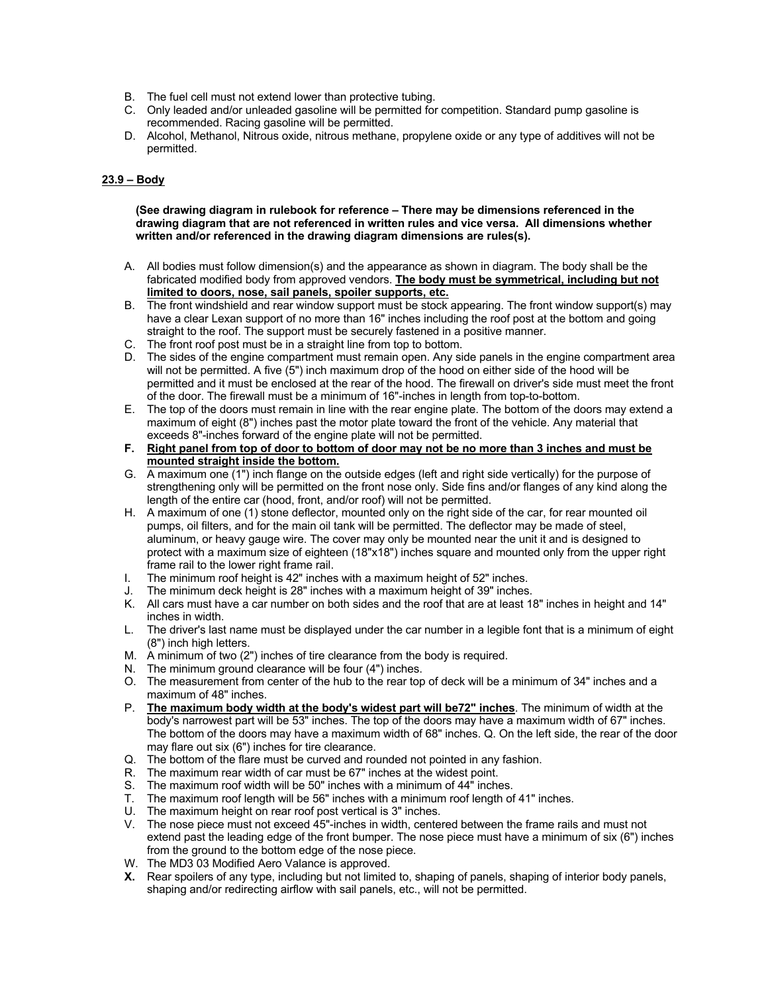- B. The fuel cell must not extend lower than protective tubing.
- C. Only leaded and/or unleaded gasoline will be permitted for competition. Standard pump gasoline is recommended. Racing gasoline will be permitted.
- D. Alcohol, Methanol, Nitrous oxide, nitrous methane, propylene oxide or any type of additives will not be permitted.

#### **23.9 – Body**

**(See drawing diagram in rulebook for reference – There may be dimensions referenced in the drawing diagram that are not referenced in written rules and vice versa. All dimensions whether written and/or referenced in the drawing diagram dimensions are rules(s).**

- A. All bodies must follow dimension(s) and the appearance as shown in diagram. The body shall be the fabricated modified body from approved vendors. **The body must be symmetrical, including but not limited to doors, nose, sail panels, spoiler supports, etc.**
- B. The front windshield and rear window support must be stock appearing. The front window support(s) may have a clear Lexan support of no more than 16" inches including the roof post at the bottom and going straight to the roof. The support must be securely fastened in a positive manner.
- C. The front roof post must be in a straight line from top to bottom.
- D. The sides of the engine compartment must remain open. Any side panels in the engine compartment area will not be permitted. A five (5") inch maximum drop of the hood on either side of the hood will be permitted and it must be enclosed at the rear of the hood. The firewall on driver's side must meet the front of the door. The firewall must be a minimum of 16"-inches in length from top-to-bottom.
- E. The top of the doors must remain in line with the rear engine plate. The bottom of the doors may extend a maximum of eight (8") inches past the motor plate toward the front of the vehicle. Any material that exceeds 8"-inches forward of the engine plate will not be permitted.
- **F. Right panel from top of door to bottom of door may not be no more than 3 inches and must be mounted straight inside the bottom.**
- G. A maximum one (1") inch flange on the outside edges (left and right side vertically) for the purpose of strengthening only will be permitted on the front nose only. Side fins and/or flanges of any kind along the length of the entire car (hood, front, and/or roof) will not be permitted.
- H. A maximum of one (1) stone deflector, mounted only on the right side of the car, for rear mounted oil pumps, oil filters, and for the main oil tank will be permitted. The deflector may be made of steel, aluminum, or heavy gauge wire. The cover may only be mounted near the unit it and is designed to protect with a maximum size of eighteen (18"x18") inches square and mounted only from the upper right frame rail to the lower right frame rail.
- I. The minimum roof height is 42" inches with a maximum height of 52" inches.
- J. The minimum deck height is 28" inches with a maximum height of 39" inches.
- K. All cars must have a car number on both sides and the roof that are at least 18" inches in height and 14" inches in width.
- L. The driver's last name must be displayed under the car number in a legible font that is a minimum of eight (8") inch high letters.
- M. A minimum of two (2") inches of tire clearance from the body is required.
- N. The minimum ground clearance will be four (4") inches.
- O. The measurement from center of the hub to the rear top of deck will be a minimum of 34" inches and a maximum of 48" inches.
- P. **The maximum body width at the body's widest part will be72" inches**. The minimum of width at the body's narrowest part will be 53" inches. The top of the doors may have a maximum width of 67" inches. The bottom of the doors may have a maximum width of 68" inches. Q. On the left side, the rear of the door may flare out six (6") inches for tire clearance.
- Q. The bottom of the flare must be curved and rounded not pointed in any fashion.
- R. The maximum rear width of car must be 67" inches at the widest point.
- S. The maximum roof width will be 50" inches with a minimum of 44" inches.
- T. The maximum roof length will be 56" inches with a minimum roof length of 41" inches.
- U. The maximum height on rear roof post vertical is 3" inches.
- V. The nose piece must not exceed 45"-inches in width, centered between the frame rails and must not extend past the leading edge of the front bumper. The nose piece must have a minimum of six (6") inches from the ground to the bottom edge of the nose piece.
- W. The MD3 03 Modified Aero Valance is approved.
- **X.** Rear spoilers of any type, including but not limited to, shaping of panels, shaping of interior body panels, shaping and/or redirecting airflow with sail panels, etc., will not be permitted.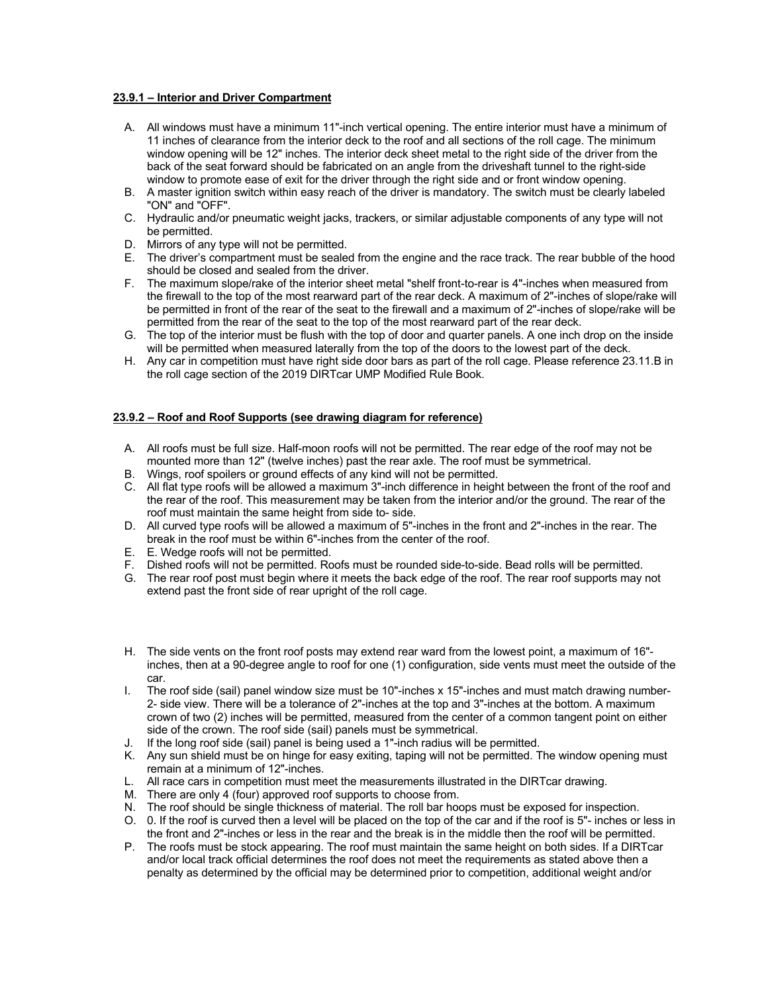#### **23.9.1 – Interior and Driver Compartment**

- A. All windows must have a minimum 11"-inch vertical opening. The entire interior must have a minimum of 11 inches of clearance from the interior deck to the roof and all sections of the roll cage. The minimum window opening will be 12" inches. The interior deck sheet metal to the right side of the driver from the back of the seat forward should be fabricated on an angle from the driveshaft tunnel to the right-side window to promote ease of exit for the driver through the right side and or front window opening.
- B. A master ignition switch within easy reach of the driver is mandatory. The switch must be clearly labeled "ON" and "OFF".
- C. Hydraulic and/or pneumatic weight jacks, trackers, or similar adjustable components of any type will not be permitted.
- D. Mirrors of any type will not be permitted.
- E. The driver's compartment must be sealed from the engine and the race track. The rear bubble of the hood should be closed and sealed from the driver.
- F. The maximum slope/rake of the interior sheet metal "shelf front-to-rear is 4"-inches when measured from the firewall to the top of the most rearward part of the rear deck. A maximum of 2"-inches of slope/rake will be permitted in front of the rear of the seat to the firewall and a maximum of 2"-inches of slope/rake will be permitted from the rear of the seat to the top of the most rearward part of the rear deck.
- G. The top of the interior must be flush with the top of door and quarter panels. A one inch drop on the inside will be permitted when measured laterally from the top of the doors to the lowest part of the deck.
- H. Any car in competition must have right side door bars as part of the roll cage. Please reference 23.11.B in the roll cage section of the 2019 DIRTcar UMP Modified Rule Book.

#### **23.9.2 – Roof and Roof Supports (see drawing diagram for reference)**

- A. All roofs must be full size. Half-moon roofs will not be permitted. The rear edge of the roof may not be mounted more than 12" (twelve inches) past the rear axle. The roof must be symmetrical.
- B. Wings, roof spoilers or ground effects of any kind will not be permitted.
- C. All flat type roofs will be allowed a maximum 3"-inch difference in height between the front of the roof and the rear of the roof. This measurement may be taken from the interior and/or the ground. The rear of the roof must maintain the same height from side to- side.
- D. All curved type roofs will be allowed a maximum of 5"-inches in the front and 2"-inches in the rear. The break in the roof must be within 6"-inches from the center of the roof.
- E. E. Wedge roofs will not be permitted.
- F. Dished roofs will not be permitted. Roofs must be rounded side-to-side. Bead rolls will be permitted.
- G. The rear roof post must begin where it meets the back edge of the roof. The rear roof supports may not extend past the front side of rear upright of the roll cage.
- H. The side vents on the front roof posts may extend rear ward from the lowest point, a maximum of 16" inches, then at a 90-degree angle to roof for one (1) configuration, side vents must meet the outside of the car.
- I. The roof side (sail) panel window size must be 10"-inches x 15"-inches and must match drawing number-2- side view. There will be a tolerance of 2"-inches at the top and 3"-inches at the bottom. A maximum crown of two (2) inches will be permitted, measured from the center of a common tangent point on either side of the crown. The roof side (sail) panels must be symmetrical.
- J. If the long roof side (sail) panel is being used a 1"-inch radius will be permitted.
- K. Any sun shield must be on hinge for easy exiting, taping will not be permitted. The window opening must remain at a minimum of 12"-inches.
- L. All race cars in competition must meet the measurements illustrated in the DIRTcar drawing.
- M. There are only 4 (four) approved roof supports to choose from.
- N. The roof should be single thickness of material. The roll bar hoops must be exposed for inspection.
- O. 0. If the roof is curved then a level will be placed on the top of the car and if the roof is 5"- inches or less in the front and 2"-inches or less in the rear and the break is in the middle then the roof will be permitted.
- P. The roofs must be stock appearing. The roof must maintain the same height on both sides. If a DIRTcar and/or local track official determines the roof does not meet the requirements as stated above then a penalty as determined by the official may be determined prior to competition, additional weight and/or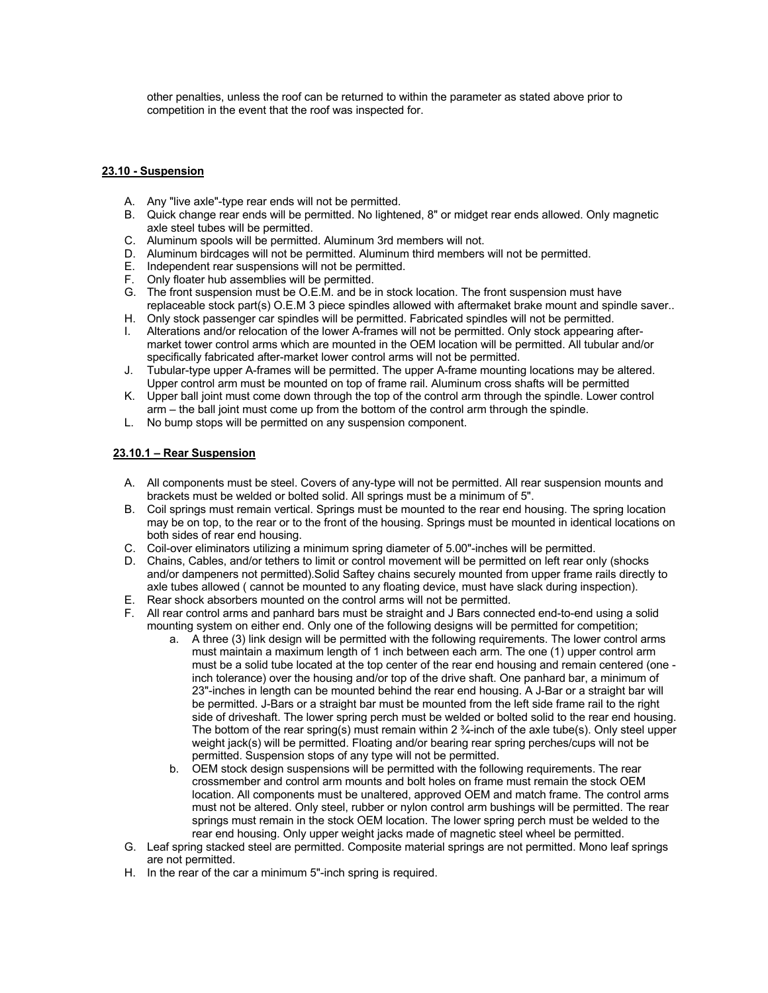other penalties, unless the roof can be returned to within the parameter as stated above prior to competition in the event that the roof was inspected for.

#### **23.10 - Suspension**

- A. Any "live axle"-type rear ends will not be permitted.
- B. Quick change rear ends will be permitted. No lightened, 8" or midget rear ends allowed. Only magnetic axle steel tubes will be permitted.
- C. Aluminum spools will be permitted. Aluminum 3rd members will not.
- D. Aluminum birdcages will not be permitted. Aluminum third members will not be permitted.
- E. Independent rear suspensions will not be permitted.
- F. Only floater hub assemblies will be permitted.
- G. The front suspension must be O.E.M. and be in stock location. The front suspension must have replaceable stock part(s) O.E.M 3 piece spindles allowed with aftermaket brake mount and spindle saver..
- H. Only stock passenger car spindles will be permitted. Fabricated spindles will not be permitted.
- I. Alterations and/or relocation of the lower A-frames will not be permitted. Only stock appearing aftermarket tower control arms which are mounted in the OEM location will be permitted. All tubular and/or specifically fabricated after-market lower control arms will not be permitted.
- J. Tubular-type upper A-frames will be permitted. The upper A-frame mounting locations may be altered. Upper control arm must be mounted on top of frame rail. Aluminum cross shafts will be permitted
- K. Upper ball joint must come down through the top of the control arm through the spindle. Lower control arm – the ball joint must come up from the bottom of the control arm through the spindle.
- L. No bump stops will be permitted on any suspension component.

#### **23.10.1 – Rear Suspension**

- A. All components must be steel. Covers of any-type will not be permitted. All rear suspension mounts and brackets must be welded or bolted solid. All springs must be a minimum of 5".
- B. Coil springs must remain vertical. Springs must be mounted to the rear end housing. The spring location may be on top, to the rear or to the front of the housing. Springs must be mounted in identical locations on both sides of rear end housing.
- C. Coil-over eliminators utilizing a minimum spring diameter of 5.00"-inches will be permitted.
- D. Chains, Cables, and/or tethers to limit or control movement will be permitted on left rear only (shocks and/or dampeners not permitted).Solid Saftey chains securely mounted from upper frame rails directly to axle tubes allowed ( cannot be mounted to any floating device, must have slack during inspection).
- E. Rear shock absorbers mounted on the control arms will not be permitted.
- F. All rear control arms and panhard bars must be straight and J Bars connected end-to-end using a solid mounting system on either end. Only one of the following designs will be permitted for competition;
	- a. A three (3) link design will be permitted with the following requirements. The lower control arms must maintain a maximum length of 1 inch between each arm. The one (1) upper control arm must be a solid tube located at the top center of the rear end housing and remain centered (one inch tolerance) over the housing and/or top of the drive shaft. One panhard bar, a minimum of 23"-inches in length can be mounted behind the rear end housing. A J-Bar or a straight bar will be permitted. J-Bars or a straight bar must be mounted from the left side frame rail to the right side of driveshaft. The lower spring perch must be welded or bolted solid to the rear end housing. The bottom of the rear spring(s) must remain within 2 ¾-inch of the axle tube(s). Only steel upper weight jack(s) will be permitted. Floating and/or bearing rear spring perches/cups will not be permitted. Suspension stops of any type will not be permitted.
	- b. OEM stock design suspensions will be permitted with the following requirements. The rear crossmember and control arm mounts and bolt holes on frame must remain the stock OEM location. All components must be unaltered, approved OEM and match frame. The control arms must not be altered. Only steel, rubber or nylon control arm bushings will be permitted. The rear springs must remain in the stock OEM location. The lower spring perch must be welded to the rear end housing. Only upper weight jacks made of magnetic steel wheel be permitted.
- G. Leaf spring stacked steel are permitted. Composite material springs are not permitted. Mono leaf springs are not permitted.
- H. In the rear of the car a minimum 5"-inch spring is required.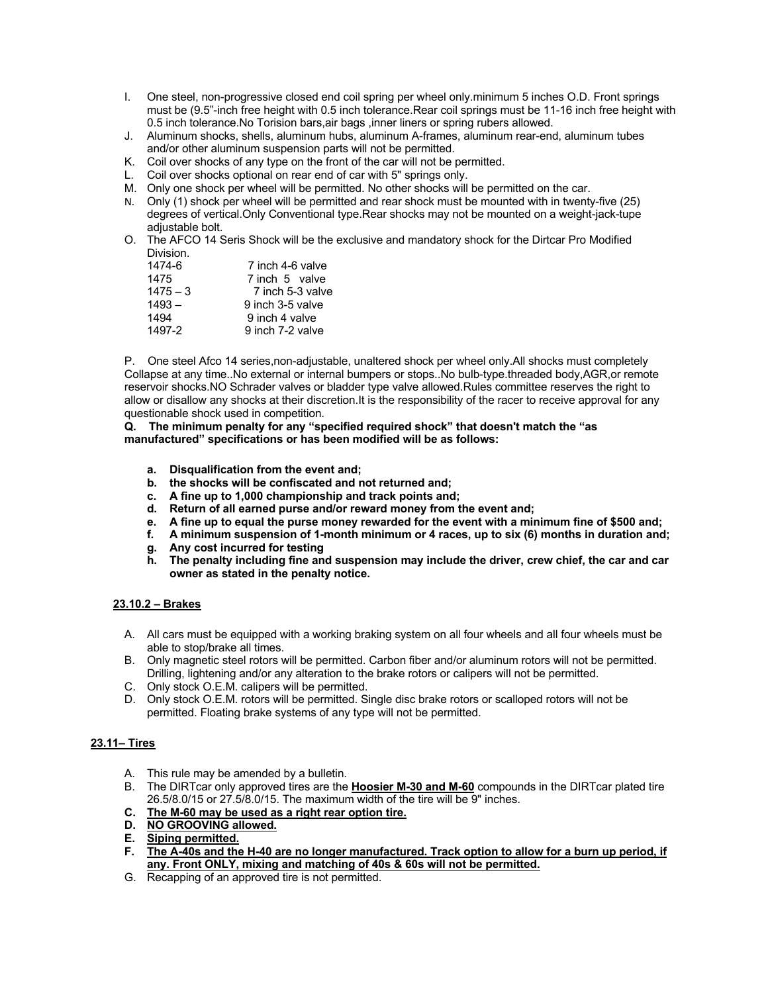- I. One steel, non-progressive closed end coil spring per wheel only.minimum 5 inches O.D. Front springs must be (9.5"-inch free height with 0.5 inch tolerance.Rear coil springs must be 11-16 inch free height with 0.5 inch tolerance.No Torision bars,air bags ,inner liners or spring rubers allowed.
- J. Aluminum shocks, shells, aluminum hubs, aluminum A-frames, aluminum rear-end, aluminum tubes and/or other aluminum suspension parts will not be permitted.
- K. Coil over shocks of any type on the front of the car will not be permitted.
- L. Coil over shocks optional on rear end of car with 5" springs only.
- M. Only one shock per wheel will be permitted. No other shocks will be permitted on the car.
- N. Only (1) shock per wheel will be permitted and rear shock must be mounted with in twenty-five (25) degrees of vertical.Only Conventional type.Rear shocks may not be mounted on a weight-jack-tupe adjustable bolt.
- O. The AFCO 14 Seris Shock will be the exclusive and mandatory shock for the Dirtcar Pro Modified Division.

| 1474-6     | 7 inch 4-6 valve |
|------------|------------------|
| 1475       | 7 inch 5 valve   |
| $1475 - 3$ | 7 inch 5-3 valve |
| $1493 -$   | 9 inch 3-5 valve |
| 1494       | 9 inch 4 valve   |
| 1497-2     | 9 inch 7-2 valve |

P. One steel Afco 14 series,non-adjustable, unaltered shock per wheel only.All shocks must completely Collapse at any time..No external or internal bumpers or stops..No bulb-type.threaded body,AGR,or remote reservoir shocks.NO Schrader valves or bladder type valve allowed.Rules committee reserves the right to allow or disallow any shocks at their discretion.It is the responsibility of the racer to receive approval for any questionable shock used in competition.

**Q. The minimum penalty for any "specified required shock" that doesn't match the "as manufactured" specifications or has been modified will be as follows:** 

- **a. Disqualification from the event and;**
- **b. the shocks will be confiscated and not returned and;**
- **c. A fine up to 1,000 championship and track points and;**
- **d. Return of all earned purse and/or reward money from the event and;**
- **e. A fine up to equal the purse money rewarded for the event with a minimum fine of \$500 and;**
- **f. A minimum suspension of 1-month minimum or 4 races, up to six (6) months in duration and;**
- **g. Any cost incurred for testing**
- **h. The penalty including fine and suspension may include the driver, crew chief, the car and car owner as stated in the penalty notice.**

#### **23.10.2 – Brakes**

- A. All cars must be equipped with a working braking system on all four wheels and all four wheels must be able to stop/brake all times.
- B. Only magnetic steel rotors will be permitted. Carbon fiber and/or aluminum rotors will not be permitted. Drilling, lightening and/or any alteration to the brake rotors or calipers will not be permitted.
- C. Only stock O.E.M. calipers will be permitted.
- D. Only stock O.E.M. rotors will be permitted. Single disc brake rotors or scalloped rotors will not be permitted. Floating brake systems of any type will not be permitted.

#### **23.11– Tires**

- A. This rule may be amended by a bulletin.
- B. The DIRTcar only approved tires are the **Hoosier M-30 and M-60** compounds in the DIRTcar plated tire 26.5/8.0/15 or 27.5/8.0/15. The maximum width of the tire will be 9" inches.
- **C. The M-60 may be used as a right rear option tire.**
- **D. NO GROOVING allowed.**
- **E. Siping permitted.**
- **F. The A-40s and the H-40 are no longer manufactured. Track option to allow for a burn up period, if any. Front ONLY, mixing and matching of 40s & 60s will not be permitted.**
- G. Recapping of an approved tire is not permitted.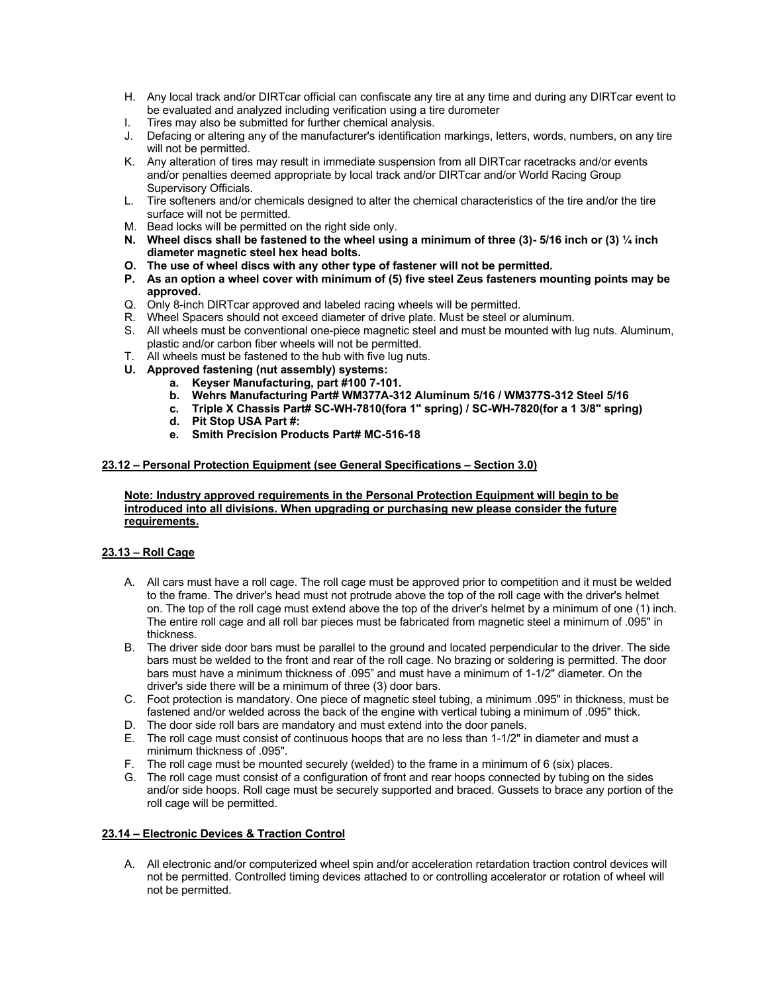- H. Any local track and/or DIRTcar official can confiscate any tire at any time and during any DIRTcar event to be evaluated and analyzed including verification using a tire durometer
- I. Tires may also be submitted for further chemical analysis.
- J. Defacing or altering any of the manufacturer's identification markings, letters, words, numbers, on any tire will not be permitted.
- K. Any alteration of tires may result in immediate suspension from all DIRTcar racetracks and/or events and/or penalties deemed appropriate by local track and/or DIRTcar and/or World Racing Group Supervisory Officials.
- L. Tire softeners and/or chemicals designed to alter the chemical characteristics of the tire and/or the tire surface will not be permitted.
- M. Bead locks will be permitted on the right side only.
- **N. Wheel discs shall be fastened to the wheel using a minimum of three (3)- 5/16 inch or (3) ¼ inch diameter magnetic steel hex head bolts.**
- **O. The use of wheel discs with any other type of fastener will not be permitted.**
- **P. As an option a wheel cover with minimum of (5) five steel Zeus fasteners mounting points may be approved.**
- Q. Only 8-inch DIRTcar approved and labeled racing wheels will be permitted.
- R. Wheel Spacers should not exceed diameter of drive plate. Must be steel or aluminum.
- S. All wheels must be conventional one-piece magnetic steel and must be mounted with lug nuts. Aluminum, plastic and/or carbon fiber wheels will not be permitted.
- T. All wheels must be fastened to the hub with five lug nuts.
- **U. Approved fastening (nut assembly) systems:**
	- **a. Keyser Manufacturing, part #100 7-101.**
	- **b. Wehrs Manufacturing Part# WM377A-312 Aluminum 5/16 / WM377S-312 Steel 5/16**
	- **c. Triple X Chassis Part# SC-WH-7810(fora 1" spring) / SC-WH-7820(for a 1 3/8" spring)**
	- **d. Pit Stop USA Part #:**
	- **e. Smith Precision Products Part# MC-516-18**

#### **23.12 – Personal Protection Equipment (see General Specifications – Section 3.0)**

**Note: Industry approved requirements in the Personal Protection Equipment will begin to be introduced into all divisions. When upgrading or purchasing new please consider the future requirements.**

#### **23.13 – Roll Cage**

- A. All cars must have a roll cage. The roll cage must be approved prior to competition and it must be welded to the frame. The driver's head must not protrude above the top of the roll cage with the driver's helmet on. The top of the roll cage must extend above the top of the driver's helmet by a minimum of one (1) inch. The entire roll cage and all roll bar pieces must be fabricated from magnetic steel a minimum of .095" in thickness.
- B. The driver side door bars must be parallel to the ground and located perpendicular to the driver. The side bars must be welded to the front and rear of the roll cage. No brazing or soldering is permitted. The door bars must have a minimum thickness of .095" and must have a minimum of 1-1/2" diameter. On the driver's side there will be a minimum of three (3) door bars.
- C. Foot protection is mandatory. One piece of magnetic steel tubing, a minimum .095" in thickness, must be fastened and/or welded across the back of the engine with vertical tubing a minimum of .095" thick.
- D. The door side roll bars are mandatory and must extend into the door panels.
- E. The roll cage must consist of continuous hoops that are no less than 1-1/2" in diameter and must a minimum thickness of .095".
- F. The roll cage must be mounted securely (welded) to the frame in a minimum of 6 (six) places.
- G. The roll cage must consist of a configuration of front and rear hoops connected by tubing on the sides and/or side hoops. Roll cage must be securely supported and braced. Gussets to brace any portion of the roll cage will be permitted.

#### **23.14 – Electronic Devices & Traction Control**

A. All electronic and/or computerized wheel spin and/or acceleration retardation traction control devices will not be permitted. Controlled timing devices attached to or controlling accelerator or rotation of wheel will not be permitted.